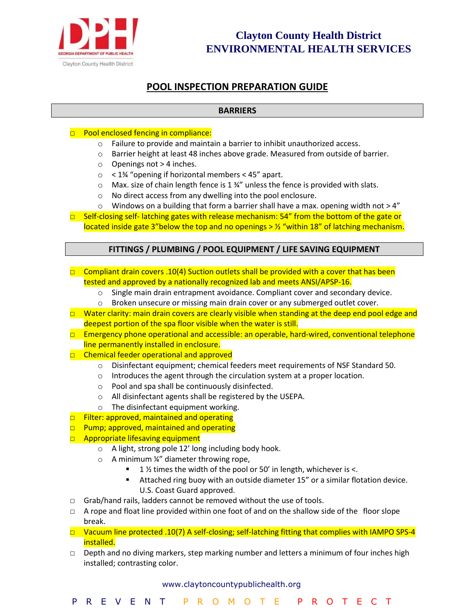

# **POOL INSPECTION PREPARATION GUIDE**

### **BARRIERS**

#### □ Pool enclosed fencing in compliance:

- o Failure to provide and maintain a barrier to inhibit unauthorized access.
- o Barrier height at least 48 inches above grade. Measured from outside of barrier.
- o Openings not > 4 inches.
- o < 1¾ "opening if horizontal members < 45" apart.
- o Max. size of chain length fence is 1 ¾" unless the fence is provided with slats.
- o No direct access from any dwelling into the pool enclosure.
- $\circ$  Windows on a building that form a barrier shall have a max. opening width not > 4"
- □ Self‐closing self‐ latching gates with release mechanism: 54" from the bottom of the gate or located inside gate 3"below the top and no openings  $> 2/$  "within 18" of latching mechanism.

### **FITTINGS / PLUMBING / POOL EQUIPMENT / LIFE SAVING EQUIPMENT**

- **O** Compliant drain covers .10(4) Suction outlets shall be provided with a cover that has been tested and approved by a nationally recognized lab and meets ANSI/APSP‐16.
	- o Single main drain entrapment avoidance. Compliant cover and secondary device.
	- o Broken unsecure or missing main drain cover or any submerged outlet cover.
- □ Water clarity: main drain covers are clearly visible when standing at the deep end pool edge and deepest portion of the spa floor visible when the water is still.
- □ Emergency phone operational and accessible: an operable, hard-wired, conventional telephone line permanently installed in enclosure.
- □ Chemical feeder operational and approved
	- o Disinfectant equipment; chemical feeders meet requirements of NSF Standard 50.
	- o Introduces the agent through the circulation system at a proper location.
	- o Pool and spa shall be continuously disinfected.
	- o All disinfectant agents shall be registered by the USEPA.
	- o The disinfectant equipment working.
- □ Filter: approved, maintained and operating
- $\Box$  Pump; approved, maintained and operating
- □ Appropriate lifesaving equipment
	- o A light, strong pole 12' long including body hook.
	- $\circ$  A minimum ¼" diameter throwing rope,
		- 1  $\frac{1}{2}$  times the width of the pool or 50' in length, whichever is <.
		- Attached ring buoy with an outside diameter 15" or a similar flotation device. U.S. Coast Guard approved.
- □ Grab/hand rails, ladders cannot be removed without the use of tools.
- $\Box$  A rope and float line provided within one foot of and on the shallow side of the floor slope break.
- □ Vacuum line protected .10(7) A self-closing; self-latching fitting that complies with IAMPO SPS-4 installed.
- $\Box$  Depth and no diving markers, step marking number and letters a minimum of four inches high installed; contrasting color.

#### www.claytoncountypublichealth.org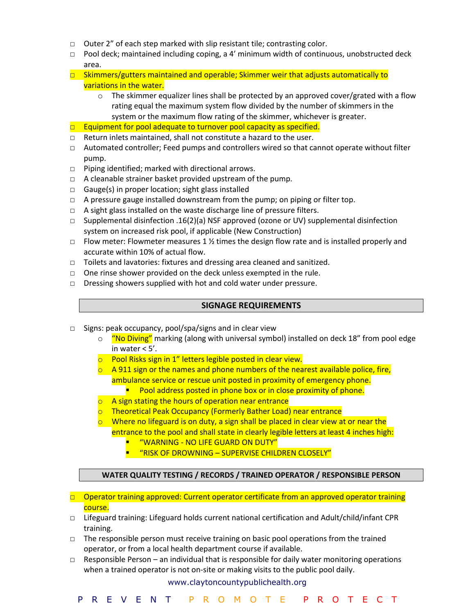- □ Outer 2" of each step marked with slip resistant tile; contrasting color.
- $\Box$  Pool deck; maintained including coping, a 4' minimum width of continuous, unobstructed deck area.
- $\Box$  Skimmers/gutters maintained and operable; Skimmer weir that adjusts automatically to variations in the water.
	- $\circ$  The skimmer equalizer lines shall be protected by an approved cover/grated with a flow rating equal the maximum system flow divided by the number of skimmers in the system or the maximum flow rating of the skimmer, whichever is greater.
- $\Box$  Equipment for pool adequate to turnover pool capacity as specified.
- □ Return inlets maintained, shall not constitute a hazard to the user.
- □ Automated controller; Feed pumps and controllers wired so that cannot operate without filter pump.
- □ Piping identified; marked with directional arrows.
- □ A cleanable strainer basket provided upstream of the pump.
- □ Gauge(s) in proper location; sight glass installed
- □ A pressure gauge installed downstream from the pump; on piping or filter top.
- □ A sight glass installed on the waste discharge line of pressure filters.
- □ Supplemental disinfection .16(2)(a) NSF approved (ozone or UV) supplemental disinfection system on increased risk pool, if applicable (New Construction)
- $\Box$  Flow meter: Flowmeter measures 1 % times the design flow rate and is installed properly and accurate within 10% of actual flow.
- □ Toilets and lavatories: fixtures and dressing area cleaned and sanitized.
- □ One rinse shower provided on the deck unless exempted in the rule.
- □ Dressing showers supplied with hot and cold water under pressure.

#### **SIGNAGE REQUIREMENTS**

- □ Signs: peak occupancy, pool/spa/signs and in clear view
	- o "No Diving" marking (along with universal symbol) installed on deck 18" from pool edge in water < 5'.
	- o Pool Risks sign in 1" letters legible posted in clear view.
	- $\circ$  A 911 sign or the names and phone numbers of the nearest available police, fire, ambulance service or rescue unit posted in proximity of emergency phone.
		- Pool address posted in phone box or in close proximity of phone.
	- $\circ$  A sign stating the hours of operation near entrance
	- o Theoretical Peak Occupancy (Formerly Bather Load) near entrance
	- $\circ$  Where no lifeguard is on duty, a sign shall be placed in clear view at or near the entrance to the pool and shall state in clearly legible letters at least 4 inches high:
		- "WARNING NO LIFE GUARD ON DUTY"
		- "RISK OF DROWNING SUPERVISE CHILDREN CLOSELY"

#### **WATER QUALITY TESTING / RECORDS / TRAINED OPERATOR / RESPONSIBLE PERSON**

- □ Operator training approved: Current operator certificate from an approved operator training course.
- $\Box$  Lifeguard training: Lifeguard holds current national certification and Adult/child/infant CPR training.
- $\Box$  The responsible person must receive training on basic pool operations from the trained operator, or from a local health department course if available.
- $\Box$  Responsible Person an individual that is responsible for daily water monitoring operations when a trained operator is not on-site or making visits to the public pool daily.

#### www.claytoncountypublichealth.org

P R E V E N T P R O M O T E P R O T E C T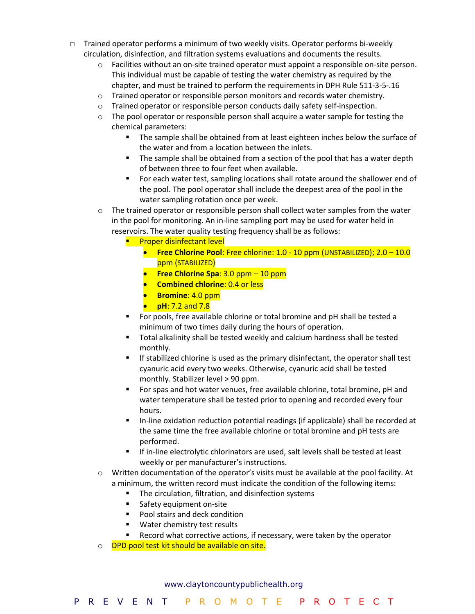- □ Trained operator performs a minimum of two weekly visits. Operator performs bi-weekly circulation, disinfection, and filtration systems evaluations and documents the results.
	- o Facilities without an on‐site trained operator must appoint a responsible on‐site person. This individual must be capable of testing the water chemistry as required by the chapter, and must be trained to perform the requirements in DPH Rule 511‐3‐5‐.16
	- $\circ$  Trained operator or responsible person monitors and records water chemistry.
	- o Trained operator or responsible person conducts daily safety self‐inspection.
	- $\circ$  The pool operator or responsible person shall acquire a water sample for testing the chemical parameters:
		- The sample shall be obtained from at least eighteen inches below the surface of the water and from a location between the inlets.
		- The sample shall be obtained from a section of the pool that has a water depth of between three to four feet when available.
		- For each water test, sampling locations shall rotate around the shallower end of the pool. The pool operator shall include the deepest area of the pool in the water sampling rotation once per week.

 $\circ$  The trained operator or responsible person shall collect water samples from the water in the pool for monitoring. An in‐line sampling port may be used for water held in reservoirs. The water quality testing frequency shall be as follows:

- Proper disinfectant level
	- **Free Chlorine Pool**: Free chlorine: 1.0 10 ppm (UNSTABILIZED); 2.0 10.0 ppm (STABILIZED)
	- **Free Chlorine Spa**: 3.0 ppm 10 ppm
	- **Combined chlorine**: 0.4 or less
	- **Bromine**: 4.0 ppm
	- **pH**: 7.2 and 7.8
- For pools, free available chlorine or total bromine and pH shall be tested a minimum of two times daily during the hours of operation.
- Total alkalinity shall be tested weekly and calcium hardness shall be tested monthly.
- If stabilized chlorine is used as the primary disinfectant, the operator shall test cyanuric acid every two weeks. Otherwise, cyanuric acid shall be tested monthly. Stabilizer level > 90 ppm.
- For spas and hot water venues, free available chlorine, total bromine, pH and water temperature shall be tested prior to opening and recorded every four hours.
- In-line oxidation reduction potential readings (if applicable) shall be recorded at the same time the free available chlorine or total bromine and pH tests are performed.
- If in-line electrolytic chlorinators are used, salt levels shall be tested at least weekly or per manufacturer's instructions.
- $\circ$  Written documentation of the operator's visits must be available at the pool facility. At a minimum, the written record must indicate the condition of the following items:
	- The circulation, filtration, and disinfection systems
	- Safety equipment on-site
	- Pool stairs and deck condition
	- Water chemistry test results
	- Record what corrective actions, if necessary, were taken by the operator
- o **DPD pool test kit should be available on site.**

#### www.claytoncountypublichealth.org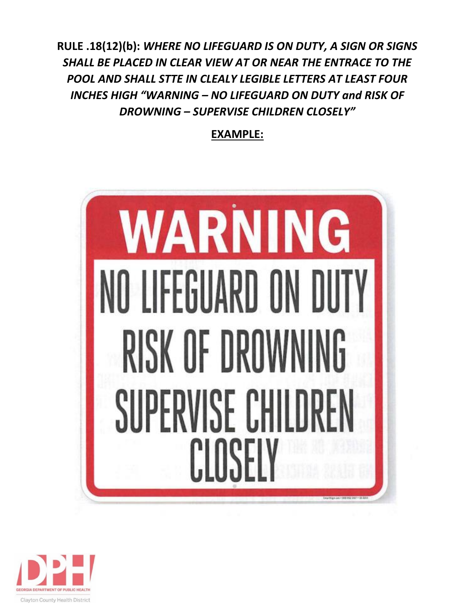**RULE .18(12)(b):** *WHERE NO LIFEGUARD IS ON DUTY, A SIGN OR SIGNS SHALL BE PLACED IN CLEAR VIEW AT OR NEAR THE ENTRACE TO THE POOL AND SHALL STTE IN CLEALY LEGIBLE LETTERS AT LEAST FOUR INCHES HIGH "WARNING – NO LIFEGUARD ON DUTY and RISK OF DROWNING – SUPERVISE CHILDREN CLOSELY"*

**EXAMPLE:** 



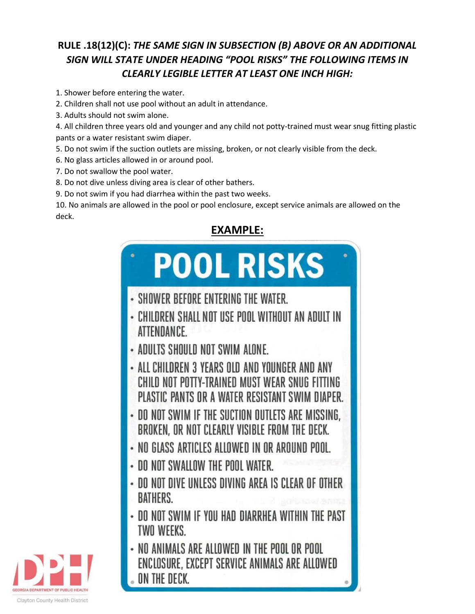# **RULE .18(12)(C):** *THE SAME SIGN IN SUBSECTION (B) ABOVE OR AN ADDITIONAL SIGN WILL STATE UNDER HEADING "POOL RISKS" THE FOLLOWING ITEMS IN CLEARLY LEGIBLE LETTER AT LEAST ONE INCH HIGH:*

- 1. Shower before entering the water.
- 2. Children shall not use pool without an adult in attendance.
- 3. Adults should not swim alone.
- 4. All children three years old and younger and any child not potty-trained must wear snug fitting plastic pants or a water resistant swim diaper.
- 5. Do not swim if the suction outlets are missing, broken, or not clearly visible from the deck.
- 6. No glass articles allowed in or around pool.
- 7. Do not swallow the pool water.
- 8. Do not dive unless diving area is clear of other bathers.
- 9. Do not swim if you had diarrhea within the past two weeks.

10. No animals are allowed in the pool or pool enclosure, except service animals are allowed on the deck.

# **EXAMPLE:**



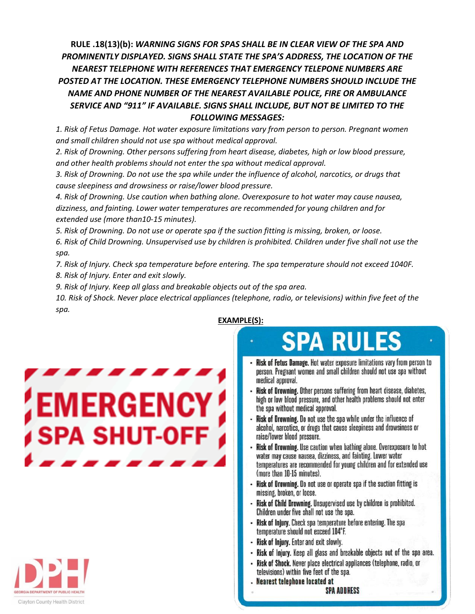# **RULE .18(13)(b):** *WARNING SIGNS FOR SPAS SHALL BE IN CLEAR VIEW OF THE SPA AND PROMINENTLY DISPLAYED. SIGNS SHALL STATE THE SPA'S ADDRESS, THE LOCATION OF THE NEAREST TELEPHONE WITH REFERENCES THAT EMERGENCY TELEPONE NUMBERS ARE POSTED AT THE LOCATION. THESE EMERGENCY TELEPHONE NUMBERS SHOULD INCLUDE THE NAME AND PHONE NUMBER OF THE NEAREST AVAILABLE POLICE, FIRE OR AMBULANCE SERVICE AND "911" IF AVAILABLE. SIGNS SHALL INCLUDE, BUT NOT BE LIMITED TO THE FOLLOWING MESSAGES:*

*1. Risk of Fetus Damage. Hot water exposure limitations vary from person to person. Pregnant women and small children should not use spa without medical approval.* 

*2. Risk of Drowning. Other persons suffering from heart disease, diabetes, high or low blood pressure, and other health problems should not enter the spa without medical approval.* 

*3. Risk of Drowning. Do not use the spa while under the influence of alcohol, narcotics, or drugs that cause sleepiness and drowsiness or raise/lower blood pressure.* 

*4. Risk of Drowning. Use caution when bathing alone. Overexposure to hot water may cause nausea, dizziness, and fainting. Lower water temperatures are recommended for young children and for extended use (more than10-15 minutes).* 

*5. Risk of Drowning. Do not use or operate spa if the suction fitting is missing, broken, or loose.* 

*6. Risk of Child Drowning. Unsupervised use by children is prohibited. Children under five shall not use the spa.* 

*7. Risk of Injury. Check spa temperature before entering. The spa temperature should not exceed 1040F.* 

*8. Risk of Injury. Enter and exit slowly.*

*9. Risk of Injury. Keep all glass and breakable objects out of the spa area.* 

*10. Risk of Shock. Never place electrical appliances (telephone, radio, or televisions) within five feet of the spa.* 

# **EMERGENCY SPA SHUT-OFF**



## **EXAMPLE(S):**

# **SPA RULES**

- Risk of Fetus Damage. Hot water exposure limitations vary from person to person. Pregnant women and small children should not use spa without medical approval.
- Risk of Drowning. Other persons suffering from heart disease, diabetes, high or low blood pressure, and other health problems should not enter the spa without medical approval.
- Risk of Drowning. Do not use the spa while under the influence of alcohol, narcotics, or drugs that cause sleepiness and drowsiness or raise/lower blood pressure.
- Risk of Drowning. Use caution when bathing alone. Overexposure to hot water may cause nausea, dizziness, and fainting. Lower water temperatures are recommended for young children and for extended use (more than 10-15 minutes).
- Risk of Drowning. Do not use or operate spa if the suction fitting is missing, broken, or loose.
- Risk of Child Drowning. Unsupervised use by children is prohibited. Children under five shall not use the spa.
- Risk of Injury. Check spa temperature before entering. The spa temperature should not exceed 104°F.
- Risk of Injury. Enter and exit slowly.
- Risk of Injury. Keep all glass and breakable objects out of the spa area.
- Risk of Shock. Never place electrical appliances (telephone, radio, or televisions) within five feet of the spa.
- **Nearest telephone located at**

**SPA ADDRESS**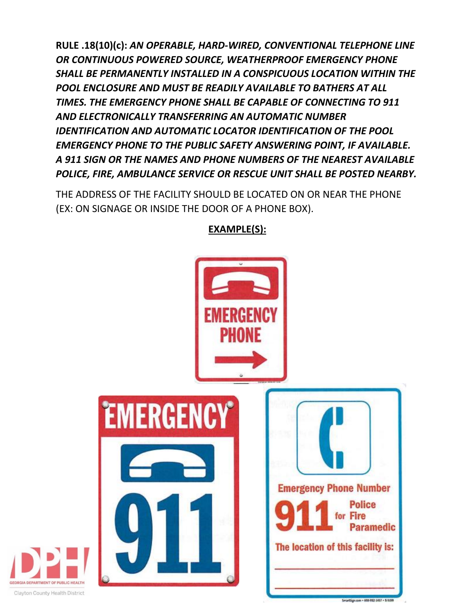**RULE .18(10)(c):** *AN OPERABLE, HARD-WIRED, CONVENTIONAL TELEPHONE LINE OR CONTINUOUS POWERED SOURCE, WEATHERPROOF EMERGENCY PHONE SHALL BE PERMANENTLY INSTALLED IN A CONSPICUOUS LOCATION WITHIN THE POOL ENCLOSURE AND MUST BE READILY AVAILABLE TO BATHERS AT ALL TIMES. THE EMERGENCY PHONE SHALL BE CAPABLE OF CONNECTING TO 911 AND ELECTRONICALLY TRANSFERRING AN AUTOMATIC NUMBER IDENTIFICATION AND AUTOMATIC LOCATOR IDENTIFICATION OF THE POOL EMERGENCY PHONE TO THE PUBLIC SAFETY ANSWERING POINT, IF AVAILABLE. A 911 SIGN OR THE NAMES AND PHONE NUMBERS OF THE NEAREST AVAILABLE POLICE, FIRE, AMBULANCE SERVICE OR RESCUE UNIT SHALL BE POSTED NEARBY.* 

THE ADDRESS OF THE FACILITY SHOULD BE LOCATED ON OR NEAR THE PHONE (EX: ON SIGNAGE OR INSIDE THE DOOR OF A PHONE BOX).



# **EXAMPLE(S):**

**SEORGIA DEPARTMENT OF PUBLIC HEALTH** Clayton County Health District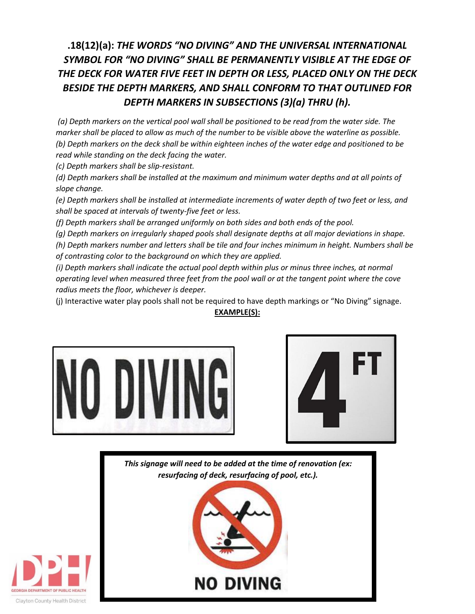# **.18(12)(a):** *THE WORDS "NO DIVING" AND THE UNIVERSAL INTERNATIONAL SYMBOL FOR "NO DIVING" SHALL BE PERMANENTLY VISIBLE AT THE EDGE OF THE DECK FOR WATER FIVE FEET IN DEPTH OR LESS, PLACED ONLY ON THE DECK BESIDE THE DEPTH MARKERS, AND SHALL CONFORM TO THAT OUTLINED FOR DEPTH MARKERS IN SUBSECTIONS (3)(a) THRU (h).*

*(a) Depth markers on the vertical pool wall shall be positioned to be read from the water side. The marker shall be placed to allow as much of the number to be visible above the waterline as possible. (b) Depth markers on the deck shall be within eighteen inches of the water edge and positioned to be read while standing on the deck facing the water.* 

*(c) Depth markers shall be slip-resistant.* 

*(d) Depth markers shall be installed at the maximum and minimum water depths and at all points of slope change.* 

*(e) Depth markers shall be installed at intermediate increments of water depth of two feet or less, and shall be spaced at intervals of twenty-five feet or less.* 

*(f) Depth markers shall be arranged uniformly on both sides and both ends of the pool.* 

*(g) Depth markers on irregularly shaped pools shall designate depths at all major deviations in shape. (h) Depth markers number and letters shall be tile and four inches minimum in height. Numbers shall be of contrasting color to the background on which they are applied.* 

*(i) Depth markers shall indicate the actual pool depth within plus or minus three inches, at normal operating level when measured three feet from the pool wall or at the tangent point where the cove radius meets the floor, whichever is deeper.* 

(j) Interactive water play pools shall not be required to have depth markings or "No Diving" signage. **EXAMPLE(S):**





*This signage will need to be added at the time of renovation (ex: resurfacing of deck, resurfacing of pool, etc.).*

**NO DIVING** 

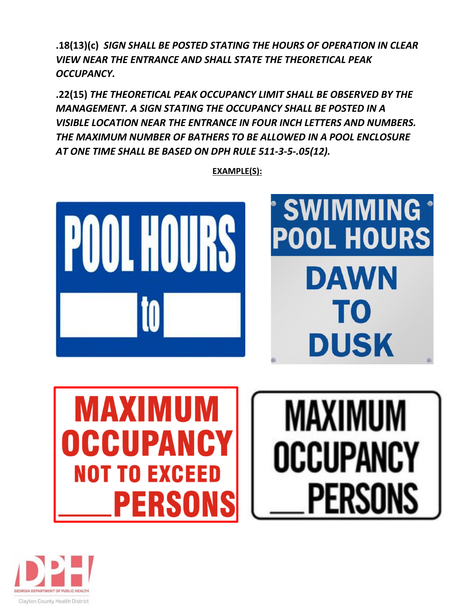**.18(13)(c)** *SIGN SHALL BE POSTED STATING THE HOURS OF OPERATION IN CLEAR VIEW NEAR THE ENTRANCE AND SHALL STATE THE THEORETICAL PEAK OCCUPANCY.* 

**.22(15)** *THE THEORETICAL PEAK OCCUPANCY LIMIT SHALL BE OBSERVED BY THE MANAGEMENT. A SIGN STATING THE OCCUPANCY SHALL BE POSTED IN A VISIBLE LOCATION NEAR THE ENTRANCE IN FOUR INCH LETTERS AND NUMBERS. THE MAXIMUM NUMBER OF BATHERS TO BE ALLOWED IN A POOL ENCLOSURE AT ONE TIME SHALL BE BASED ON DPH RULE 511-3-5-.05(12).*



**EXAMPLE(S):**



**MAXIMUM** 

OCCUPANCY

PERSONS

MAXIMUM DCCUPA **NOT TO EXCEED** PERSONS